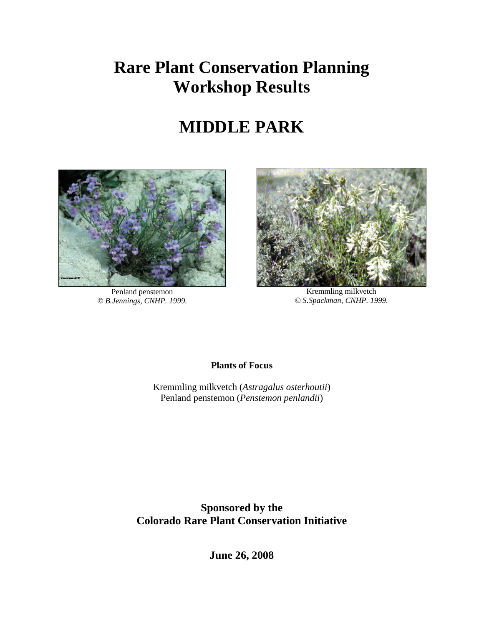# **Rare Plant Conservation Planning Workshop Results**

# **MIDDLE PARK**



Penland penstemon *© B.Jennings, CNHP. 1999.*



Kremmling milkvetch *© S.Spackman, CNHP. 1999.*

**Plants of Focus**

Kremmling milkvetch (*Astragalus osterhoutii*) Penland penstemon (*Penstemon penlandii*)

**Sponsored by the Colorado Rare Plant Conservation Initiative**

**June 26, 2008**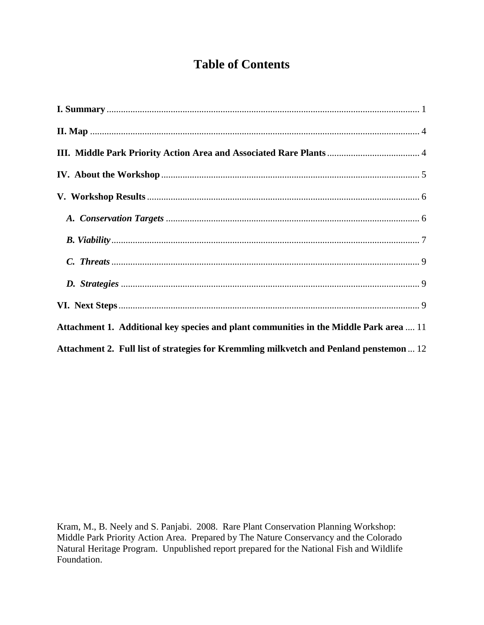## **Table of Contents**

| Attachment 1. Additional key species and plant communities in the Middle Park area  11  |
|-----------------------------------------------------------------------------------------|
| Attachment 2. Full list of strategies for Kremmling milkvetch and Penland penstemon  12 |

Kram, M., B. Neely and S. Panjabi. 2008. Rare Plant Conservation Planning Workshop: Middle Park Priority Action Area. Prepared by The Nature Conservancy and the Colorado Natural Heritage Program. Unpublished report prepared for the National Fish and Wildlife Foundation.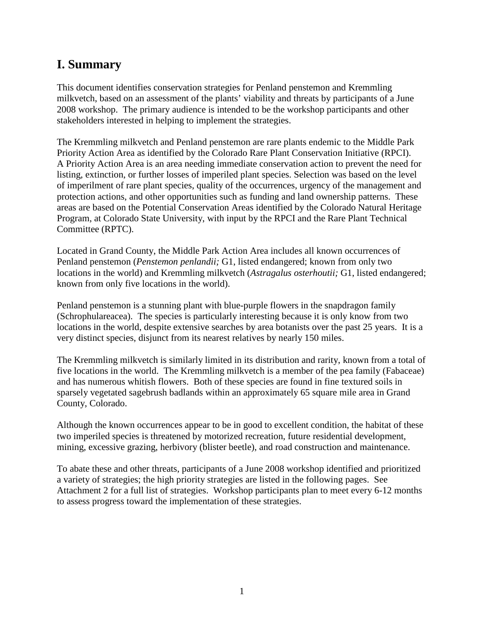## <span id="page-2-0"></span>**I. Summary**

This document identifies conservation strategies for Penland penstemon and Kremmling milkvetch, based on an assessment of the plants' viability and threats by participants of a June 2008 workshop. The primary audience is intended to be the workshop participants and other stakeholders interested in helping to implement the strategies.

The Kremmling milkvetch and Penland penstemon are rare plants endemic to the Middle Park Priority Action Area as identified by the Colorado Rare Plant Conservation Initiative (RPCI). A Priority Action Area is an area needing immediate conservation action to prevent the need for listing, extinction, or further losses of imperiled plant species. Selection was based on the level of imperilment of rare plant species, quality of the occurrences, urgency of the management and protection actions, and other opportunities such as funding and land ownership patterns. These areas are based on the Potential Conservation Areas identified by the Colorado Natural Heritage Program, at Colorado State University, with input by the RPCI and the Rare Plant Technical Committee (RPTC).

Located in Grand County, the Middle Park Action Area includes all known occurrences of Penland penstemon (*Penstemon penlandii;* G1, listed endangered; known from only two locations in the world) and Kremmling milkvetch (*Astragalus osterhoutii;* G1, listed endangered; known from only five locations in the world).

Penland penstemon is a stunning plant with blue-purple flowers in the snapdragon family (Schrophulareacea). The species is particularly interesting because it is only know from two locations in the world, despite extensive searches by area botanists over the past 25 years. It is a very distinct species, disjunct from its nearest relatives by nearly 150 miles.

The Kremmling milkvetch is similarly limited in its distribution and rarity, known from a total of five locations in the world. The Kremmling milkvetch is a member of the pea family (Fabaceae) and has numerous whitish flowers. Both of these species are found in fine textured soils in sparsely vegetated sagebrush badlands within an approximately 65 square mile area in Grand County, Colorado.

Although the known occurrences appear to be in good to excellent condition, the habitat of these two imperiled species is threatened by motorized recreation, future residential development, mining, excessive grazing, herbivory (blister beetle), and road construction and maintenance.

To abate these and other threats, participants of a June 2008 workshop identified and prioritized a variety of strategies; the high priority strategies are listed in the following pages. See Attachment 2 for a full list of strategies. Workshop participants plan to meet every 6-12 months to assess progress toward the implementation of these strategies.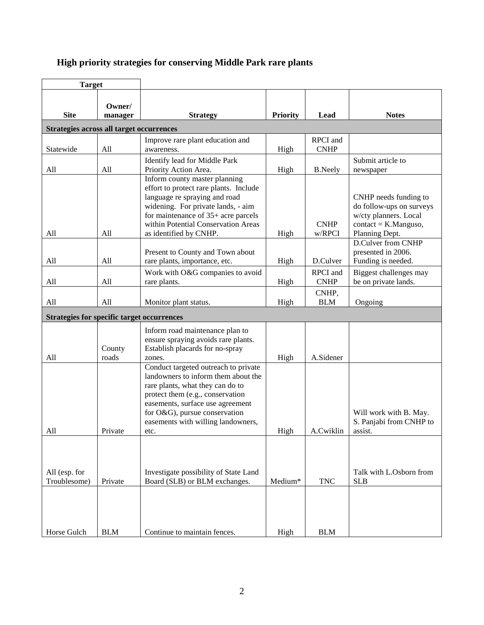### **High priority strategies for conserving Middle Park rare plants**

| <b>Target</b>                                     |                   |                                                                                                                                                                                                                                                                        |                 |                         |                                                                                                                        |
|---------------------------------------------------|-------------------|------------------------------------------------------------------------------------------------------------------------------------------------------------------------------------------------------------------------------------------------------------------------|-----------------|-------------------------|------------------------------------------------------------------------------------------------------------------------|
| <b>Site</b>                                       | Owner/<br>manager | <b>Strategy</b>                                                                                                                                                                                                                                                        | <b>Priority</b> | Lead                    | <b>Notes</b>                                                                                                           |
| Strategies across all target occurrences          |                   |                                                                                                                                                                                                                                                                        |                 |                         |                                                                                                                        |
| Statewide                                         | All               | Improve rare plant education and<br>awareness.                                                                                                                                                                                                                         | High            | RPCI and<br><b>CNHP</b> |                                                                                                                        |
| All                                               | All               | Identify lead for Middle Park<br>Priority Action Area.                                                                                                                                                                                                                 | High            | <b>B.Neely</b>          | Submit article to<br>newspaper                                                                                         |
| All                                               | All               | Inform county master planning<br>effort to protect rare plants. Include<br>language re spraying and road<br>widening. For private lands, - aim<br>for maintenance of $35+$ acre parcels<br>within Potential Conservation Areas<br>as identified by CNHP.               | High            | <b>CNHP</b><br>w/RPCI   | CNHP needs funding to<br>do follow-ups on surveys<br>w/cty planners. Local<br>$contact = K.Manguso,$<br>Planning Dept. |
| All                                               | All               | Present to County and Town about<br>rare plants, importance, etc.                                                                                                                                                                                                      | High            | D.Culver                | D.Culver from CNHP<br>presented in 2006.<br>Funding is needed.                                                         |
| All                                               | All               | Work with O&G companies to avoid<br>rare plants.                                                                                                                                                                                                                       | High            | RPCI and<br><b>CNHP</b> | Biggest challenges may<br>be on private lands.                                                                         |
| All                                               | All               | Monitor plant status.                                                                                                                                                                                                                                                  | High            | CNHP,<br><b>BLM</b>     | Ongoing                                                                                                                |
| <b>Strategies for specific target occurrences</b> |                   |                                                                                                                                                                                                                                                                        |                 |                         |                                                                                                                        |
| All                                               | County<br>roads   | Inform road maintenance plan to<br>ensure spraying avoids rare plants.<br>Establish placards for no-spray<br>zones.                                                                                                                                                    | High            | A.Sidener               |                                                                                                                        |
| All                                               | Private           | Conduct targeted outreach to private<br>landowners to inform them about the<br>rare plants, what they can do to<br>protect them (e.g., conservation<br>easements, surface use agreement<br>for O&G), pursue conservation<br>easements with willing landowners,<br>etc. | High            | A.Cwiklin               | Will work with B. May.<br>S. Panjabi from CNHP to<br>assist.                                                           |
| All (esp. for<br>Troublesome)                     | Private           | Investigate possibility of State Land<br>Board (SLB) or BLM exchanges.                                                                                                                                                                                                 | Medium*         | <b>TNC</b>              | Talk with L.Osborn from<br><b>SLB</b>                                                                                  |
| Horse Gulch                                       | <b>BLM</b>        | Continue to maintain fences.                                                                                                                                                                                                                                           | High            | <b>BLM</b>              |                                                                                                                        |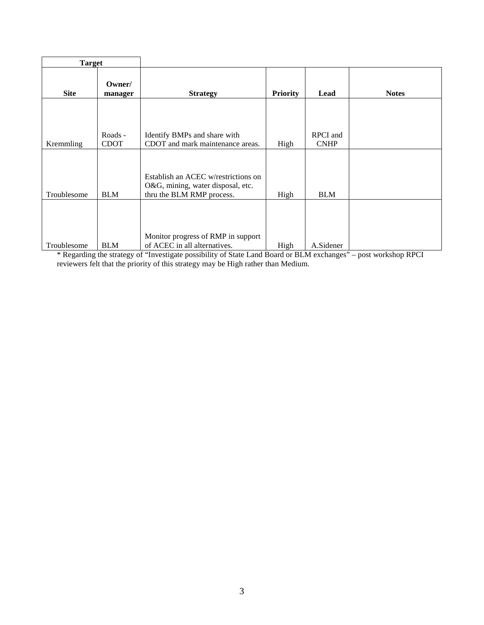| <b>Target</b> |                   |                                                                                                       |                 |             |              |
|---------------|-------------------|-------------------------------------------------------------------------------------------------------|-----------------|-------------|--------------|
| <b>Site</b>   | Owner/<br>manager | <b>Strategy</b>                                                                                       | <b>Priority</b> | Lead        | <b>Notes</b> |
|               |                   |                                                                                                       |                 |             |              |
|               |                   |                                                                                                       |                 |             |              |
|               | Roads -           | Identify BMPs and share with                                                                          |                 | RPCI and    |              |
| Kremmling     | <b>CDOT</b>       | CDOT and mark maintenance areas.                                                                      | High            | <b>CNHP</b> |              |
| Troublesome   | <b>BLM</b>        | Establish an ACEC w/restrictions on<br>O&G, mining, water disposal, etc.<br>thru the BLM RMP process. | High            | <b>BLM</b>  |              |
| Troublesome   | <b>BLM</b>        | Monitor progress of RMP in support<br>of ACEC in all alternatives.                                    | High            | A.Sidener   |              |

\* Regarding the strategy of "Investigate possibility of State Land Board or BLM exchanges" – post workshop RPCI reviewers felt that the priority of this strategy may be High rather than Medium.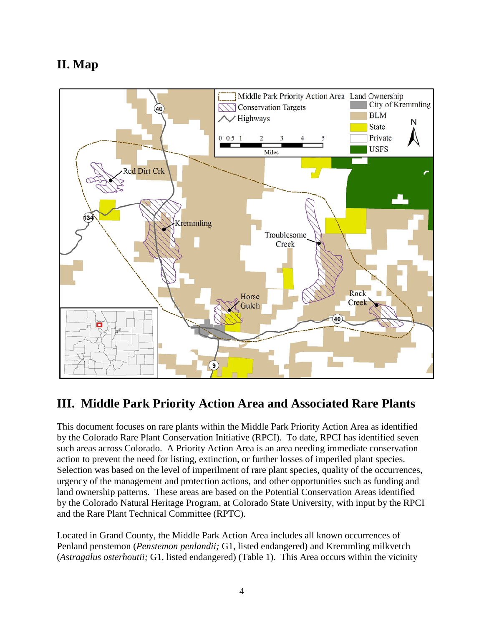# <span id="page-5-0"></span>**II. Map**



# <span id="page-5-1"></span>**III. Middle Park Priority Action Area and Associated Rare Plants**

This document focuses on rare plants within the Middle Park Priority Action Area as identified by the Colorado Rare Plant Conservation Initiative (RPCI). To date, RPCI has identified seven such areas across Colorado. A Priority Action Area is an area needing immediate conservation action to prevent the need for listing, extinction, or further losses of imperiled plant species. Selection was based on the level of imperilment of rare plant species, quality of the occurrences, urgency of the management and protection actions, and other opportunities such as funding and land ownership patterns. These areas are based on the Potential Conservation Areas identified by the Colorado Natural Heritage Program, at Colorado State University, with input by the RPCI and the Rare Plant Technical Committee (RPTC).

Located in Grand County, the Middle Park Action Area includes all known occurrences of Penland penstemon (*Penstemon penlandii;* G1, listed endangered) and Kremmling milkvetch (*Astragalus osterhoutii;* G1, listed endangered) (Table 1). This Area occurs within the vicinity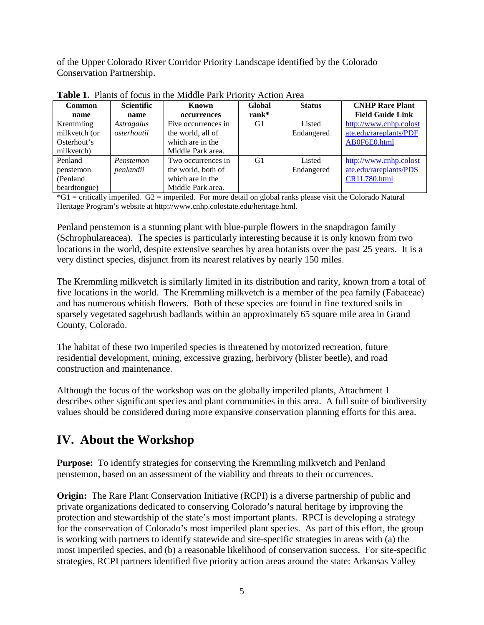of the Upper Colorado River Corridor Priority Landscape identified by the Colorado Conservation Partnership.

| <b>Common</b> | Scientific  | Known               | Global   | <b>Status</b> | <b>CNHP Rare Plant</b>  |
|---------------|-------------|---------------------|----------|---------------|-------------------------|
| name          | name        | occurrences         | $rank^*$ |               | <b>Field Guide Link</b> |
| Kremmling     | Astragalus  | Five occurrences in | G1       | Listed        | http://www.cnhp.colost  |
| milkvetch (or | osterhoutii | the world, all of   |          | Endangered    | ate.edu/rareplants/PDF  |
| Osterhout's   |             | which are in the    |          |               | AB0F6E0.html            |
| milkvetch)    |             | Middle Park area.   |          |               |                         |
| Penland       | Penstemon   | Two occurrences in  | G1       | Listed        | http://www.cnhp.colost  |
| penstemon     | penlandii   | the world, both of  |          | Endangered    | ate.edu/rareplants/PDS  |
| (Penland)     |             | which are in the    |          |               | CR1L780.html            |
| beardtongue)  |             | Middle Park area.   |          |               |                         |

**Table 1.** Plants of focus in the Middle Park Priority Action Area

\*G1 = critically imperiled. G2 = imperiled. For more detail on global ranks please visit the Colorado Natural Heritage Program's website at http://www.cnhp.colostate.edu/heritage.html.

Penland penstemon is a stunning plant with blue-purple flowers in the snapdragon family (Schrophulareacea). The species is particularly interesting because it is only known from two locations in the world, despite extensive searches by area botanists over the past 25 years. It is a very distinct species, disjunct from its nearest relatives by nearly 150 miles.

The Kremmling milkvetch is similarly limited in its distribution and rarity, known from a total of five locations in the world. The Kremmling milkvetch is a member of the pea family (Fabaceae) and has numerous whitish flowers. Both of these species are found in fine textured soils in sparsely vegetated sagebrush badlands within an approximately 65 square mile area in Grand County, Colorado.

The habitat of these two imperiled species is threatened by motorized recreation, future residential development, mining, excessive grazing, herbivory (blister beetle), and road construction and maintenance.

Although the focus of the workshop was on the globally imperiled plants, Attachment 1 describes other significant species and plant communities in this area. A full suite of biodiversity values should be considered during more expansive conservation planning efforts for this area.

# <span id="page-6-0"></span>**IV. About the Workshop**

**Purpose:** To identify strategies for conserving the Kremmling milkvetch and Penland penstemon, based on an assessment of the viability and threats to their occurrences.

**Origin:** The Rare Plant Conservation Initiative (RCPI) is a diverse partnership of public and private organizations dedicated to conserving Colorado's natural heritage by improving the protection and stewardship of the state's most important plants. RPCI is developing a strategy for the conservation of Colorado's most imperiled plant species. As part of this effort, the group is working with partners to identify statewide and site-specific strategies in areas with (a) the most imperiled species, and (b) a reasonable likelihood of conservation success. For site-specific strategies, RCPI partners identified five priority action areas around the state: Arkansas Valley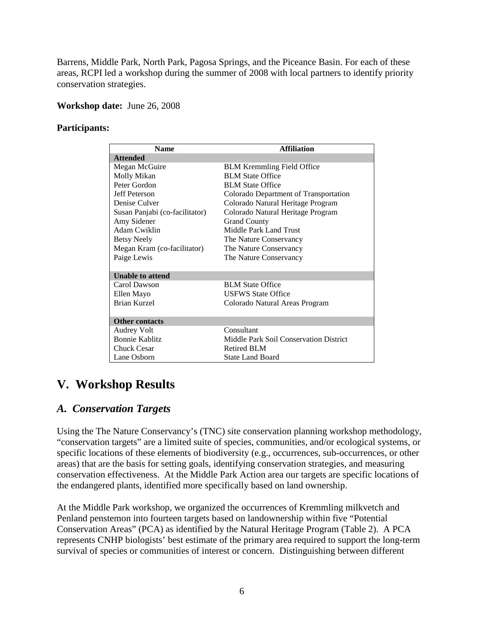Barrens, Middle Park, North Park, Pagosa Springs, and the Piceance Basin. For each of these areas, RCPI led a workshop during the summer of 2008 with local partners to identify priority conservation strategies.

#### **Workshop date:** June 26, 2008

#### **Participants:**

| <b>Name</b>                    | <b>Affiliation</b>                     |  |  |  |
|--------------------------------|----------------------------------------|--|--|--|
| <b>Attended</b>                |                                        |  |  |  |
| Megan McGuire                  | <b>BLM Kremmling Field Office</b>      |  |  |  |
| Molly Mikan                    | <b>BLM</b> State Office                |  |  |  |
| Peter Gordon                   | <b>BLM</b> State Office                |  |  |  |
| Jeff Peterson                  | Colorado Department of Transportation  |  |  |  |
| Denise Culver                  | Colorado Natural Heritage Program      |  |  |  |
| Susan Panjabi (co-facilitator) | Colorado Natural Heritage Program      |  |  |  |
| Amy Sidener                    | <b>Grand County</b>                    |  |  |  |
| Adam Cwiklin                   | Middle Park Land Trust                 |  |  |  |
| <b>Betsy Neely</b>             | The Nature Conservancy                 |  |  |  |
| Megan Kram (co-facilitator)    | The Nature Conservancy                 |  |  |  |
| Paige Lewis                    | The Nature Conservancy                 |  |  |  |
|                                |                                        |  |  |  |
| <b>Unable to attend</b>        |                                        |  |  |  |
| Carol Dawson                   | <b>BLM</b> State Office                |  |  |  |
| Ellen Mayo                     | <b>USFWS State Office</b>              |  |  |  |
| <b>Brian Kurzel</b>            | Colorado Natural Areas Program         |  |  |  |
|                                |                                        |  |  |  |
| <b>Other contacts</b>          |                                        |  |  |  |
| Audrey Volt                    | Consultant                             |  |  |  |
| <b>Bonnie Kablitz</b>          | Middle Park Soil Conservation District |  |  |  |
| Chuck Cesar                    | <b>Retired BLM</b>                     |  |  |  |
| Lane Osborn                    | <b>State Land Board</b>                |  |  |  |

### <span id="page-7-0"></span>**V. Workshop Results**

### <span id="page-7-1"></span>*A. Conservation Targets*

Using the The Nature Conservancy's (TNC) site conservation planning workshop methodology, "conservation targets" are a limited suite of species, communities, and/or ecological systems, or specific locations of these elements of biodiversity (e.g., occurrences, sub-occurrences, or other areas) that are the basis for setting goals, identifying conservation strategies, and measuring conservation effectiveness. At the Middle Park Action area our targets are specific locations of the endangered plants, identified more specifically based on land ownership.

At the Middle Park workshop, we organized the occurrences of Kremmling milkvetch and Penland penstemon into fourteen targets based on landownership within five "Potential Conservation Areas" (PCA) as identified by the Natural Heritage Program (Table 2). A PCA represents CNHP biologists' best estimate of the primary area required to support the long-term survival of species or communities of interest or concern. Distinguishing between different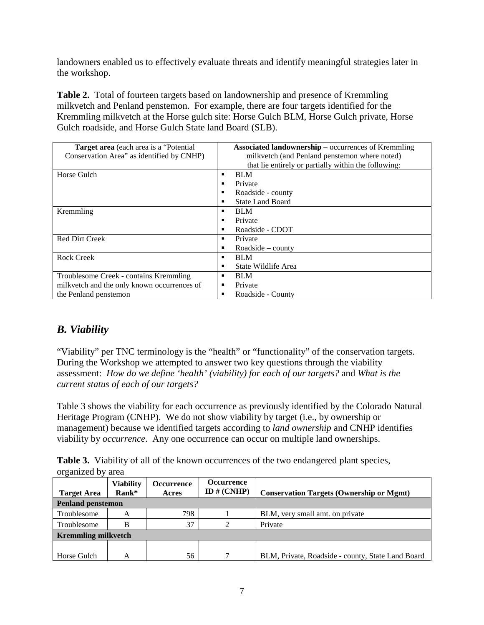landowners enabled us to effectively evaluate threats and identify meaningful strategies later in the workshop.

**Table 2.** Total of fourteen targets based on landownership and presence of Kremmling milkvetch and Penland penstemon. For example, there are four targets identified for the Kremmling milkvetch at the Horse gulch site: Horse Gulch BLM, Horse Gulch private, Horse Gulch roadside, and Horse Gulch State land Board (SLB).

| Target area (each area is a "Potential"<br>Conservation Area" as identified by CNHP) | <b>Associated landownership – occurrences of Kremmling</b><br>milkvetch (and Penland penstemon where noted) |
|--------------------------------------------------------------------------------------|-------------------------------------------------------------------------------------------------------------|
|                                                                                      | that lie entirely or partially within the following:                                                        |
| Horse Gulch                                                                          | <b>BLM</b><br>٠                                                                                             |
|                                                                                      | Private                                                                                                     |
|                                                                                      | Roadside - county<br>٠                                                                                      |
|                                                                                      | <b>State Land Board</b>                                                                                     |
| Kremmling                                                                            | <b>BLM</b>                                                                                                  |
|                                                                                      | Private                                                                                                     |
|                                                                                      | Roadside - CDOT                                                                                             |
| <b>Red Dirt Creek</b>                                                                | Private                                                                                                     |
|                                                                                      | Roadside $-$ county                                                                                         |
| <b>Rock Creek</b>                                                                    | <b>BLM</b>                                                                                                  |
|                                                                                      | State Wildlife Area                                                                                         |
| Troublesome Creek - contains Kremmling                                               | <b>BLM</b>                                                                                                  |
| milkvetch and the only known occurrences of                                          | Private<br>٠                                                                                                |
| the Penland penstemon                                                                | Roadside - County                                                                                           |

### <span id="page-8-0"></span>*B. Viability*

"Viability" per TNC terminology is the "health" or "functionality" of the conservation targets. During the Workshop we attempted to answer two key questions through the viability assessment: *How do we define 'health' (viability) for each of our targets?* and *What is the current status of each of our targets?*

Table 3 shows the viability for each occurrence as previously identified by the Colorado Natural Heritage Program (CNHP). We do not show viability by target (i.e., by ownership or management) because we identified targets according to *land ownership* and CNHP identifies viability by *occurrence*. Any one occurrence can occur on multiple land ownerships.

Table 3. Viability of all of the known occurrences of the two endangered plant species, organized by area

| <b>Target Area</b>         | <b>Viability</b><br>Rank* | <b>Occurrence</b><br>Acres | <b>Occurrence</b><br>ID $# (CNHP)$ | <b>Conservation Targets (Ownership or Mgmt)</b>   |  |  |  |  |
|----------------------------|---------------------------|----------------------------|------------------------------------|---------------------------------------------------|--|--|--|--|
| <b>Penland penstemon</b>   |                           |                            |                                    |                                                   |  |  |  |  |
| Troublesome                | A                         | 798                        |                                    | BLM, very small amt. on private                   |  |  |  |  |
| Troublesome                | В                         | 37                         |                                    | Private                                           |  |  |  |  |
| <b>Kremmling milkvetch</b> |                           |                            |                                    |                                                   |  |  |  |  |
|                            |                           |                            |                                    |                                                   |  |  |  |  |
| Horse Gulch                | А                         | 56                         |                                    | BLM, Private, Roadside - county, State Land Board |  |  |  |  |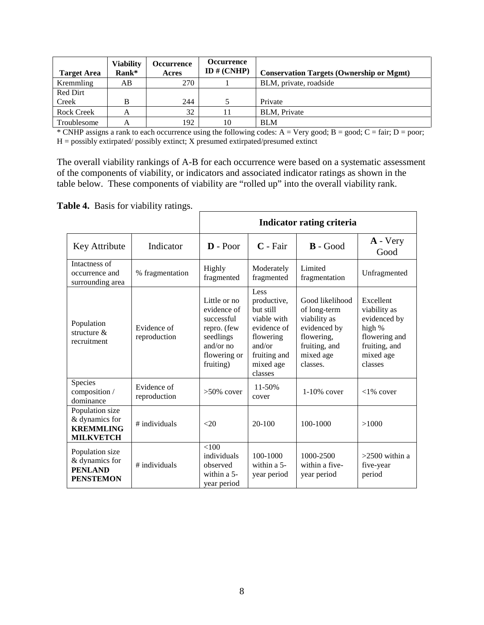| <b>Target Area</b> | <b>Viability</b><br>Rank* | <b>Occurrence</b><br>Acres | <b>Occurrence</b><br>ID $# (CNHP)$ | <b>Conservation Targets (Ownership or Mgmt)</b> |
|--------------------|---------------------------|----------------------------|------------------------------------|-------------------------------------------------|
| Kremmling          | AВ                        | 270                        |                                    | BLM, private, roadside                          |
| Red Dirt           |                           |                            |                                    |                                                 |
| Creek              | B                         | 244                        |                                    | Private                                         |
| <b>Rock Creek</b>  | А                         | 32                         | 11                                 | <b>BLM.</b> Private                             |
| Troublesome        | А                         | 192                        | 10                                 | <b>BLM</b>                                      |

\* CNHP assigns a rank to each occurrence using the following codes:  $A = V$ ery good;  $B =$  good;  $C =$  fair;  $D =$  poor;  $H =$  possibly extirpated/ possibly extinct; X presumed extirpated/presumed extinct

The overall viability rankings of A-B for each occurrence were based on a systematic assessment of the components of viability, or indicators and associated indicator ratings as shown in the table below. These components of viability are "rolled up" into the overall viability rank.

**Table 4.** Basis for viability ratings.

|                                                                           |                             |                                                                                                                   | <b>Indicator rating criteria</b>                                                                                              |                                                                                                                         |                                                                                                               |  |  |  |
|---------------------------------------------------------------------------|-----------------------------|-------------------------------------------------------------------------------------------------------------------|-------------------------------------------------------------------------------------------------------------------------------|-------------------------------------------------------------------------------------------------------------------------|---------------------------------------------------------------------------------------------------------------|--|--|--|
| Key Attribute                                                             | Indicator                   | $\mathbf{D}$ - Poor                                                                                               | $C$ - Fair                                                                                                                    | $\mathbf{B}$ - Good                                                                                                     | $\bf{A}$ - Very<br>Good                                                                                       |  |  |  |
| Intactness of<br>occurrence and<br>surrounding area                       | % fragmentation             | Highly<br>fragmented                                                                                              | Moderately<br>fragmented                                                                                                      | Limited<br>fragmentation                                                                                                | Unfragmented                                                                                                  |  |  |  |
| Population<br>structure $\&$<br>recruitment                               | Evidence of<br>reproduction | Little or no<br>evidence of<br>successful<br>repro. (few<br>seedlings<br>and/or $no$<br>flowering or<br>fruiting) | Less<br>productive,<br>but still<br>viable with<br>evidence of<br>flowering<br>and/or<br>fruiting and<br>mixed age<br>classes | Good likelihood<br>of long-term<br>viability as<br>evidenced by<br>flowering,<br>fruiting, and<br>mixed age<br>classes. | Excellent<br>viability as<br>evidenced by<br>high %<br>flowering and<br>fruiting, and<br>mixed age<br>classes |  |  |  |
| Species<br>composition /<br>dominance                                     | Evidence of<br>reproduction | $>50\%$ cover                                                                                                     | 11-50%<br>cover                                                                                                               | $1-10\%$ cover                                                                                                          | $<1\%$ cover                                                                                                  |  |  |  |
| Population size<br>& dynamics for<br><b>KREMMLING</b><br><b>MILKVETCH</b> | # individuals               | <20                                                                                                               | $20-100$                                                                                                                      | 100-1000                                                                                                                | >1000                                                                                                         |  |  |  |
| Population size<br>& dynamics for<br><b>PENLAND</b><br><b>PENSTEMON</b>   | # individuals               | < 100<br>individuals<br>observed<br>within a 5-<br>year period                                                    | 100-1000<br>within a 5-<br>year period                                                                                        | 1000-2500<br>within a five-<br>year period                                                                              | $>2500$ within a<br>five-year<br>period                                                                       |  |  |  |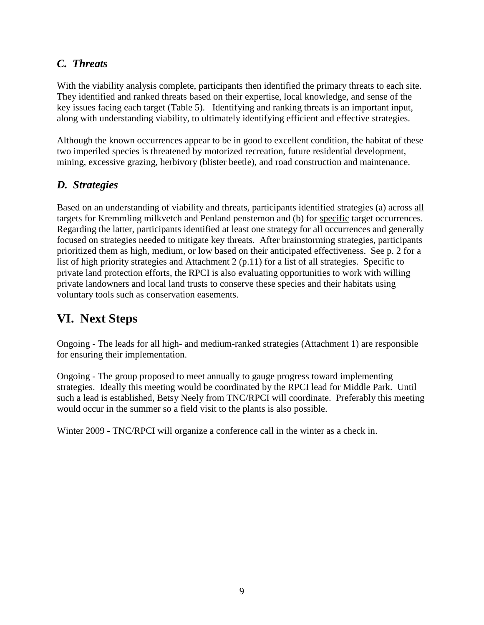### <span id="page-10-0"></span>*C. Threats*

With the viability analysis complete, participants then identified the primary threats to each site. They identified and ranked threats based on their expertise, local knowledge, and sense of the key issues facing each target (Table 5). Identifying and ranking threats is an important input, along with understanding viability, to ultimately identifying efficient and effective strategies.

Although the known occurrences appear to be in good to excellent condition, the habitat of these two imperiled species is threatened by motorized recreation, future residential development, mining, excessive grazing, herbivory (blister beetle), and road construction and maintenance.

### <span id="page-10-1"></span>*D. Strategies*

Based on an understanding of viability and threats, participants identified strategies (a) across all targets for Kremmling milkvetch and Penland penstemon and (b) for specific target occurrences. Regarding the latter, participants identified at least one strategy for all occurrences and generally focused on strategies needed to mitigate key threats. After brainstorming strategies, participants prioritized them as high, medium, or low based on their anticipated effectiveness. See p. 2 for a list of high priority strategies and Attachment 2 (p.11) for a list of all strategies. Specific to private land protection efforts, the RPCI is also evaluating opportunities to work with willing private landowners and local land trusts to conserve these species and their habitats using voluntary tools such as conservation easements.

# <span id="page-10-2"></span>**VI. Next Steps**

Ongoing - The leads for all high- and medium-ranked strategies (Attachment 1) are responsible for ensuring their implementation.

Ongoing - The group proposed to meet annually to gauge progress toward implementing strategies. Ideally this meeting would be coordinated by the RPCI lead for Middle Park. Until such a lead is established, Betsy Neely from TNC/RPCI will coordinate. Preferably this meeting would occur in the summer so a field visit to the plants is also possible.

Winter 2009 - TNC/RPCI will organize a conference call in the winter as a check in.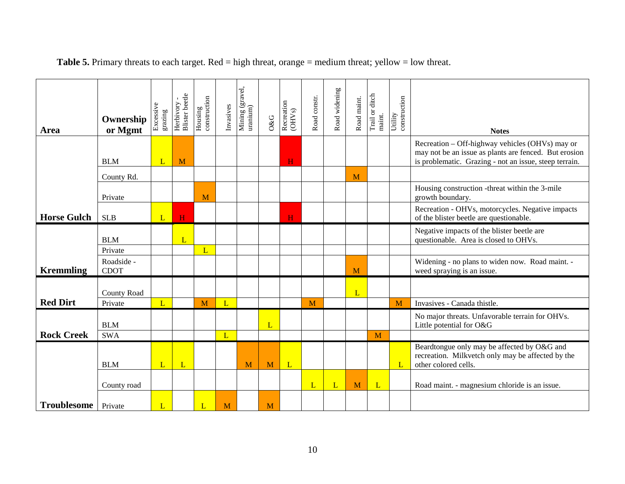| Area               | Ownership<br>or Mgmt      | Excessive<br>grazing | <b>Blister</b> beetle<br>Herbivory | $\begin{array}{c} \text{Housing} \\ \text{construction} \end{array}$ | Invasives    | Mining (gravel,<br>uranium) | 0&G | Recreation<br>(OHVs) | Road constr. | Road widening | Road maint. | Trail or ditch<br>maint. | Utility<br>construction | <b>Notes</b>                                                                                                                                                       |
|--------------------|---------------------------|----------------------|------------------------------------|----------------------------------------------------------------------|--------------|-----------------------------|-----|----------------------|--------------|---------------|-------------|--------------------------|-------------------------|--------------------------------------------------------------------------------------------------------------------------------------------------------------------|
|                    | <b>BLM</b>                | L                    | M                                  |                                                                      |              |                             |     | H                    |              |               |             |                          |                         | Recreation - Off-highway vehicles (OHVs) may or<br>may not be an issue as plants are fenced. But erosion<br>is problematic. Grazing - not an issue, steep terrain. |
|                    | County Rd.                |                      |                                    |                                                                      |              |                             |     |                      |              |               | M           |                          |                         |                                                                                                                                                                    |
|                    | Private                   |                      |                                    | M                                                                    |              |                             |     |                      |              |               |             |                          |                         | Housing construction -threat within the 3-mile<br>growth boundary.                                                                                                 |
| <b>Horse Gulch</b> | <b>SLB</b>                | L                    | H                                  |                                                                      |              |                             |     | H                    |              |               |             |                          |                         | Recreation - OHVs, motorcycles. Negative impacts<br>of the blister beetle are questionable.                                                                        |
|                    | <b>BLM</b>                |                      | L                                  |                                                                      |              |                             |     |                      |              |               |             |                          |                         | Negative impacts of the blister beetle are<br>questionable. Area is closed to OHVs.                                                                                |
|                    | Private                   |                      |                                    | L                                                                    |              |                             |     |                      |              |               |             |                          |                         |                                                                                                                                                                    |
| <b>Kremmling</b>   | Roadside -<br><b>CDOT</b> |                      |                                    |                                                                      |              |                             |     |                      |              |               | M           |                          |                         | Widening - no plans to widen now. Road maint. -<br>weed spraying is an issue.                                                                                      |
|                    |                           |                      |                                    |                                                                      |              |                             |     |                      |              |               |             |                          |                         |                                                                                                                                                                    |
|                    | <b>County Road</b>        |                      |                                    |                                                                      |              |                             |     |                      |              |               | L           |                          |                         |                                                                                                                                                                    |
| <b>Red Dirt</b>    | Private                   | L                    |                                    | M                                                                    | $\mathbf{L}$ |                             |     |                      | M            |               |             |                          | M                       | Invasives - Canada thistle.                                                                                                                                        |
|                    | <b>BLM</b>                |                      |                                    |                                                                      |              |                             | L   |                      |              |               |             |                          |                         | No major threats. Unfavorable terrain for OHVs.<br>Little potential for O&G                                                                                        |
| <b>Rock Creek</b>  | <b>SWA</b>                |                      |                                    |                                                                      | L            |                             |     |                      |              |               |             | M                        |                         |                                                                                                                                                                    |
|                    | <b>BLM</b>                | L                    | L                                  |                                                                      |              | M                           | M   | L                    |              |               |             |                          | L                       | Beardtongue only may be affected by O&G and<br>recreation. Milkvetch only may be affected by the<br>other colored cells.                                           |
|                    | County road               |                      |                                    |                                                                      |              |                             |     |                      | L            | L             | M           | $\mathbf{D}$             |                         | Road maint. - magnesium chloride is an issue.                                                                                                                      |
| Troublesome        | Private                   | L                    |                                    | L                                                                    | M            |                             | M   |                      |              |               |             |                          |                         |                                                                                                                                                                    |

**Table 5.** Primary threats to each target. Red = high threat, orange = medium threat; yellow = low threat.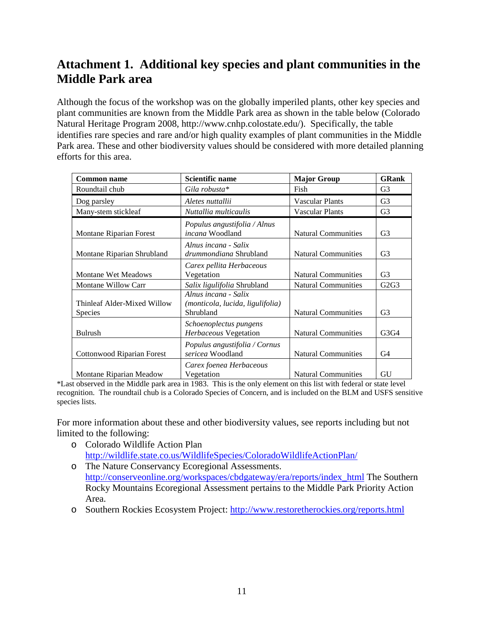## <span id="page-12-0"></span>**Attachment 1. Additional key species and plant communities in the Middle Park area**

Although the focus of the workshop was on the globally imperiled plants, other key species and plant communities are known from the Middle Park area as shown in the table below (Colorado Natural Heritage Program 2008, http://www.cnhp.colostate.edu/). Specifically, the table identifies rare species and rare and/or high quality examples of plant communities in the Middle Park area. These and other biodiversity values should be considered with more detailed planning efforts for this area.

| <b>Common name</b>                            | Scientific name                                                       | <b>Major Group</b>         | <b>GRank</b>                  |
|-----------------------------------------------|-----------------------------------------------------------------------|----------------------------|-------------------------------|
| Roundtail chub                                | Gila robusta*                                                         | Fish                       | G <sub>3</sub>                |
| Dog parsley                                   | Aletes nuttallii                                                      | <b>Vascular Plants</b>     | G <sub>3</sub>                |
| Many-stem stickleaf                           | Nuttallia multicaulis                                                 | <b>Vascular Plants</b>     | G <sub>3</sub>                |
| Montane Riparian Forest                       | Populus angustifolia / Alnus<br>incana Woodland                       | <b>Natural Communities</b> | G <sub>3</sub>                |
| Montane Riparian Shrubland                    | Alnus incana - Salix<br><i>drummondiana</i> Shrubland                 | <b>Natural Communities</b> | G <sub>3</sub>                |
| <b>Montane Wet Meadows</b>                    | Carex pellita Herbaceous<br>Vegetation                                | <b>Natural Communities</b> | G <sub>3</sub>                |
| <b>Montane Willow Carr</b>                    | Salix ligulifolia Shrubland                                           | <b>Natural Communities</b> | G <sub>2</sub> G <sub>3</sub> |
| Thinleaf Alder-Mixed Willow<br><b>Species</b> | Alnus incana - Salix<br>(monticola, lucida, ligulifolia)<br>Shrubland | <b>Natural Communities</b> | G <sub>3</sub>                |
| <b>Bulrush</b>                                | Schoenoplectus pungens<br>Herbaceous Vegetation                       | <b>Natural Communities</b> | G3G4                          |
| Cottonwood Riparian Forest                    | Populus angustifolia / Cornus<br>sericea Woodland                     | <b>Natural Communities</b> | G4                            |
| Montane Riparian Meadow                       | Carex foenea Herbaceous<br>Vegetation                                 | <b>Natural Communities</b> | GU                            |

\*Last observed in the Middle park area in 1983. This is the only element on this list with federal or state level recognition. The roundtail chub is a Colorado Species of Concern, and is included on the BLM and USFS sensitive species lists.

For more information about these and other biodiversity values, see reports including but not limited to the following:

- o Colorado Wildlife Action Plan <http://wildlife.state.co.us/WildlifeSpecies/ColoradoWildlifeActionPlan/>
- o The Nature Conservancy Ecoregional Assessments. [http://conserveonline.org/workspaces/cbdgateway/era/reports/index\\_html](http://conserveonline.org/workspaces/cbdgateway/era/reports/index_html) The Southern Rocky Mountains Ecoregional Assessment pertains to the Middle Park Priority Action Area.
- o Southern Rockies Ecosystem Project:<http://www.restoretherockies.org/reports.html>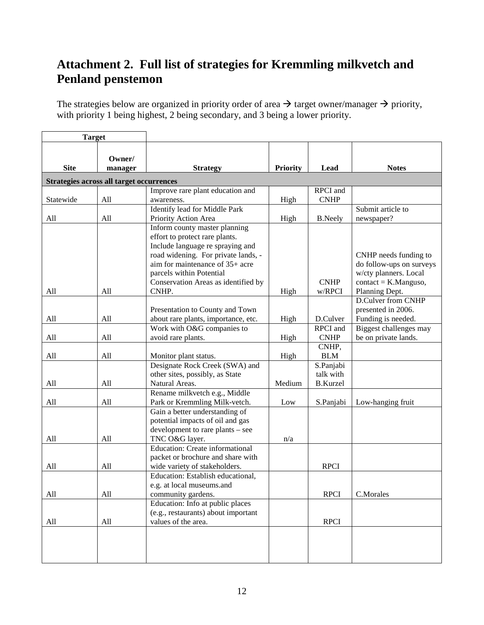# <span id="page-13-0"></span>**Attachment 2. Full list of strategies for Kremmling milkvetch and Penland penstemon**

The strategies below are organized in priority order of area  $\rightarrow$  target owner/manager  $\rightarrow$  priority, with priority 1 being highest, 2 being secondary, and 3 being a lower priority.

| <b>Target</b> |                                          |                                                                                                                                                                                                                                                           |                 |                                           |                                                                                                                        |
|---------------|------------------------------------------|-----------------------------------------------------------------------------------------------------------------------------------------------------------------------------------------------------------------------------------------------------------|-----------------|-------------------------------------------|------------------------------------------------------------------------------------------------------------------------|
| <b>Site</b>   | Owner/<br>manager                        | <b>Strategy</b>                                                                                                                                                                                                                                           | <b>Priority</b> | Lead                                      | <b>Notes</b>                                                                                                           |
|               | Strategies across all target occurrences |                                                                                                                                                                                                                                                           |                 |                                           |                                                                                                                        |
| Statewide     | All                                      | Improve rare plant education and<br>awareness.                                                                                                                                                                                                            | High            | RPCI and<br><b>CNHP</b>                   |                                                                                                                        |
| All           | All                                      | Identify lead for Middle Park<br>Priority Action Area                                                                                                                                                                                                     | High            | <b>B.Neely</b>                            | Submit article to<br>newspaper?                                                                                        |
| All           | All                                      | Inform county master planning<br>effort to protect rare plants.<br>Include language re spraying and<br>road widening. For private lands, -<br>aim for maintenance of 35+ acre<br>parcels within Potential<br>Conservation Areas as identified by<br>CNHP. | High            | <b>CNHP</b><br>w/RPCI                     | CNHP needs funding to<br>do follow-ups on surveys<br>w/cty planners. Local<br>$contact = K.Manguso,$<br>Planning Dept. |
| All           | All                                      | Presentation to County and Town<br>about rare plants, importance, etc.                                                                                                                                                                                    |                 | D.Culver                                  | D.Culver from CNHP<br>presented in 2006.<br>Funding is needed.                                                         |
| All           | All                                      | Work with O&G companies to<br>avoid rare plants.                                                                                                                                                                                                          | High<br>High    | <b>RPCI</b> and<br><b>CNHP</b>            | Biggest challenges may<br>be on private lands.                                                                         |
| All           | All                                      | Monitor plant status.                                                                                                                                                                                                                                     | High            | CNHP,<br><b>BLM</b>                       |                                                                                                                        |
| All           | All                                      | Designate Rock Creek (SWA) and<br>other sites, possibly, as State<br>Natural Areas.                                                                                                                                                                       | Medium          | S.Panjabi<br>talk with<br><b>B.Kurzel</b> |                                                                                                                        |
| All           | All                                      | Rename milkvetch e.g., Middle<br>Park or Kremmling Milk-vetch.                                                                                                                                                                                            | Low             | S.Panjabi                                 | Low-hanging fruit                                                                                                      |
| All           | All                                      | Gain a better understanding of<br>potential impacts of oil and gas<br>development to rare plants - see<br>TNC O&G layer.                                                                                                                                  | n/a             |                                           |                                                                                                                        |
| All           | All                                      | <b>Education: Create informational</b><br>packet or brochure and share with<br>wide variety of stakeholders.                                                                                                                                              |                 | <b>RPCI</b>                               |                                                                                                                        |
| All           | All                                      | Education: Establish educational,<br>e.g. at local museums.and                                                                                                                                                                                            |                 | <b>RPCI</b>                               | C.Morales                                                                                                              |
| All           | All                                      | community gardens.<br>Education: Info at public places<br>(e.g., restaurants) about important<br>values of the area.                                                                                                                                      |                 | <b>RPCI</b>                               |                                                                                                                        |
|               |                                          |                                                                                                                                                                                                                                                           |                 |                                           |                                                                                                                        |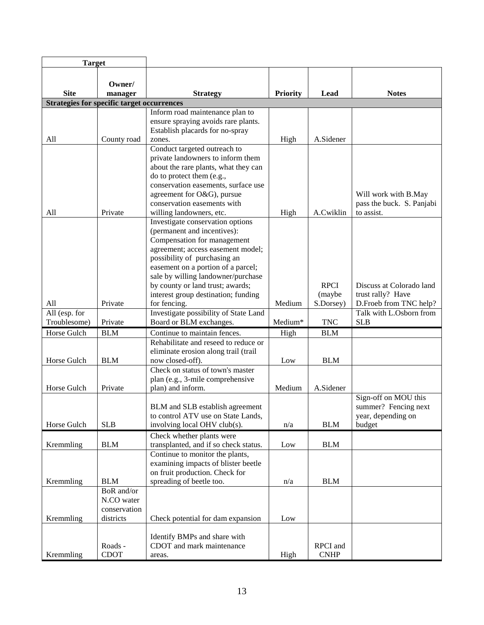| <b>Target</b>                                     |                                                       |                                                                                                                                                                                                                                                                                                                                            |                 |                                    |                                                                              |  |  |  |  |
|---------------------------------------------------|-------------------------------------------------------|--------------------------------------------------------------------------------------------------------------------------------------------------------------------------------------------------------------------------------------------------------------------------------------------------------------------------------------------|-----------------|------------------------------------|------------------------------------------------------------------------------|--|--|--|--|
| <b>Site</b>                                       | Owner/<br>manager                                     | <b>Strategy</b>                                                                                                                                                                                                                                                                                                                            | <b>Priority</b> | Lead                               | <b>Notes</b>                                                                 |  |  |  |  |
| <b>Strategies for specific target occurrences</b> |                                                       |                                                                                                                                                                                                                                                                                                                                            |                 |                                    |                                                                              |  |  |  |  |
| All                                               | County road                                           | Inform road maintenance plan to<br>ensure spraying avoids rare plants.<br>Establish placards for no-spray<br>zones.                                                                                                                                                                                                                        | High            | A.Sidener                          |                                                                              |  |  |  |  |
| All                                               | Private                                               | Conduct targeted outreach to<br>private landowners to inform them<br>about the rare plants, what they can<br>do to protect them (e.g.,<br>conservation easements, surface use<br>agreement for O&G), pursue<br>conservation easements with<br>willing landowners, etc.                                                                     | High            | A.Cwiklin                          | Will work with B.May<br>pass the buck. S. Panjabi<br>to assist.              |  |  |  |  |
| All                                               | Private                                               | Investigate conservation options<br>(permanent and incentives):<br>Compensation for management<br>agreement; access easement model;<br>possibility of purchasing an<br>easement on a portion of a parcel;<br>sale by willing landowner/purchase<br>by county or land trust; awards;<br>interest group destination; funding<br>for fencing. | Medium          | <b>RPCI</b><br>(maybe<br>S.Dorsey) | Discuss at Colorado land<br>trust rally? Have<br>D.Froeb from TNC help?      |  |  |  |  |
| All (esp. for                                     |                                                       | Investigate possibility of State Land                                                                                                                                                                                                                                                                                                      |                 |                                    | Talk with L.Osborn from                                                      |  |  |  |  |
| Troublesome)                                      | Private                                               | Board or BLM exchanges.                                                                                                                                                                                                                                                                                                                    | Medium*         | <b>TNC</b>                         | <b>SLB</b>                                                                   |  |  |  |  |
| Horse Gulch                                       | <b>BLM</b>                                            | Continue to maintain fences.                                                                                                                                                                                                                                                                                                               | High            | <b>BLM</b>                         |                                                                              |  |  |  |  |
| Horse Gulch                                       | <b>BLM</b>                                            | Rehabilitate and reseed to reduce or<br>eliminate erosion along trail (trail<br>now closed-off).                                                                                                                                                                                                                                           | Low             | <b>BLM</b>                         |                                                                              |  |  |  |  |
| Horse Gulch                                       | Private                                               | Check on status of town's master<br>plan (e.g., 3-mile comprehensive<br>plan) and inform.                                                                                                                                                                                                                                                  | Medium          | A.Sidener                          |                                                                              |  |  |  |  |
| Horse Gulch                                       | <b>SLB</b>                                            | BLM and SLB establish agreement<br>to control ATV use on State Lands,<br>involving local OHV club(s).                                                                                                                                                                                                                                      | n/a             | <b>BLM</b>                         | Sign-off on MOU this<br>summer? Fencing next<br>year, depending on<br>budget |  |  |  |  |
| Kremmling                                         | <b>BLM</b>                                            | Check whether plants were<br>transplanted, and if so check status.                                                                                                                                                                                                                                                                         | Low             | <b>BLM</b>                         |                                                                              |  |  |  |  |
| Kremmling                                         | <b>BLM</b>                                            | Continue to monitor the plants,<br>examining impacts of blister beetle<br>on fruit production. Check for<br>spreading of beetle too.                                                                                                                                                                                                       | n/a             | <b>BLM</b>                         |                                                                              |  |  |  |  |
| Kremmling                                         | BoR and/or<br>N.CO water<br>conservation<br>districts | Check potential for dam expansion                                                                                                                                                                                                                                                                                                          | Low             |                                    |                                                                              |  |  |  |  |
| Kremmling                                         | Roads -<br><b>CDOT</b>                                | Identify BMPs and share with<br>CDOT and mark maintenance<br>areas.                                                                                                                                                                                                                                                                        | High            | RPCI and<br><b>CNHP</b>            |                                                                              |  |  |  |  |